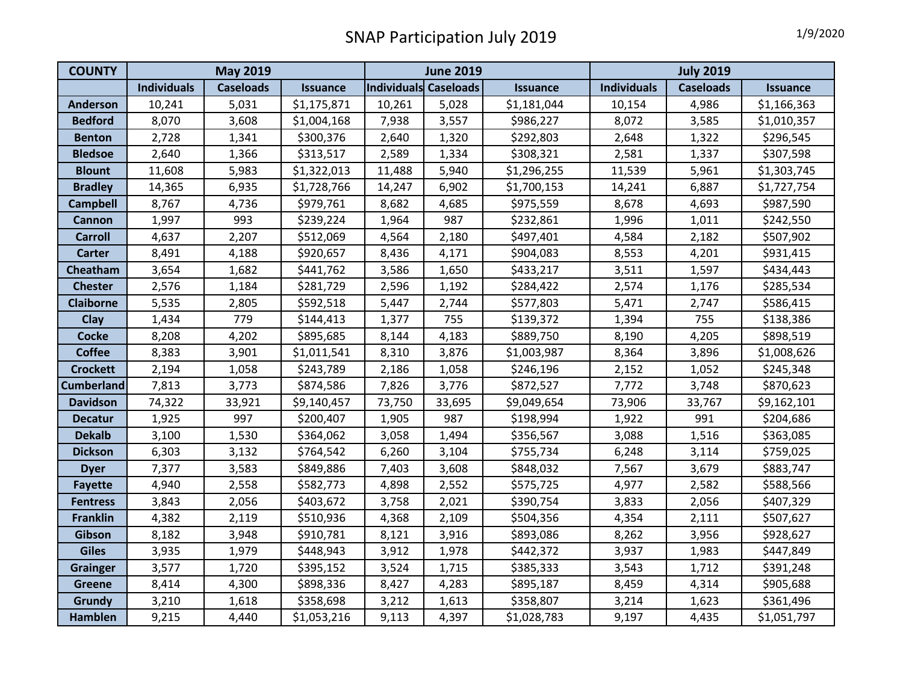| <b>COUNTY</b>     | <b>May 2019</b>    |                  |                 | <b>June 2019</b>             |        |                 | <b>July 2019</b>   |                  |             |
|-------------------|--------------------|------------------|-----------------|------------------------------|--------|-----------------|--------------------|------------------|-------------|
|                   | <b>Individuals</b> | <b>Caseloads</b> | <b>Issuance</b> | <b>Individuals Caseloads</b> |        | <b>Issuance</b> | <b>Individuals</b> | <b>Caseloads</b> | Issuance    |
| <b>Anderson</b>   | 10,241             | 5,031            | \$1,175,871     | 10,261                       | 5,028  | \$1,181,044     | 10,154             | 4,986            | \$1,166,363 |
| <b>Bedford</b>    | 8,070              | 3,608            | \$1,004,168     | 7,938                        | 3,557  | \$986,227       | 8,072              | 3,585            | \$1,010,357 |
| <b>Benton</b>     | 2,728              | 1,341            | \$300,376       | 2,640                        | 1,320  | \$292,803       | 2,648              | 1,322            | \$296,545   |
| <b>Bledsoe</b>    | 2,640              | 1,366            | \$313,517       | 2,589                        | 1,334  | \$308,321       | 2,581              | 1,337            | \$307,598   |
| <b>Blount</b>     | 11,608             | 5,983            | \$1,322,013     | 11,488                       | 5,940  | \$1,296,255     | 11,539             | 5,961            | \$1,303,745 |
| <b>Bradley</b>    | 14,365             | 6,935            | \$1,728,766     | 14,247                       | 6,902  | \$1,700,153     | 14,241             | 6,887            | \$1,727,754 |
| <b>Campbell</b>   | 8,767              | 4,736            | \$979,761       | 8,682                        | 4,685  | \$975,559       | 8,678              | 4,693            | \$987,590   |
| Cannon            | 1,997              | 993              | \$239,224       | 1,964                        | 987    | \$232,861       | 1,996              | 1,011            | \$242,550   |
| <b>Carroll</b>    | 4,637              | 2,207            | \$512,069       | 4,564                        | 2,180  | \$497,401       | 4,584              | 2,182            | \$507,902   |
| <b>Carter</b>     | 8,491              | 4,188            | \$920,657       | 8,436                        | 4,171  | \$904,083       | 8,553              | 4,201            | \$931,415   |
| Cheatham          | 3,654              | 1,682            | \$441,762       | 3,586                        | 1,650  | \$433,217       | 3,511              | 1,597            | \$434,443   |
| <b>Chester</b>    | 2,576              | 1,184            | \$281,729       | 2,596                        | 1,192  | \$284,422       | 2,574              | 1,176            | \$285,534   |
| <b>Claiborne</b>  | 5,535              | 2,805            | \$592,518       | 5,447                        | 2,744  | \$577,803       | 5,471              | 2,747            | \$586,415   |
| Clay              | 1,434              | 779              | \$144,413       | 1,377                        | 755    | \$139,372       | 1,394              | 755              | \$138,386   |
| <b>Cocke</b>      | 8,208              | 4,202            | \$895,685       | 8,144                        | 4,183  | \$889,750       | 8,190              | 4,205            | \$898,519   |
| <b>Coffee</b>     | 8,383              | 3,901            | \$1,011,541     | 8,310                        | 3,876  | \$1,003,987     | 8,364              | 3,896            | \$1,008,626 |
| <b>Crockett</b>   | 2,194              | 1,058            | \$243,789       | 2,186                        | 1,058  | \$246,196       | 2,152              | 1,052            | \$245,348   |
| <b>Cumberland</b> | 7,813              | 3,773            | \$874,586       | 7,826                        | 3,776  | \$872,527       | 7,772              | 3,748            | \$870,623   |
| <b>Davidson</b>   | 74,322             | 33,921           | \$9,140,457     | 73,750                       | 33,695 | \$9,049,654     | 73,906             | 33,767           | \$9,162,101 |
| <b>Decatur</b>    | 1,925              | 997              | \$200,407       | 1,905                        | 987    | \$198,994       | 1,922              | 991              | \$204,686   |
| <b>Dekalb</b>     | 3,100              | 1,530            | \$364,062       | 3,058                        | 1,494  | \$356,567       | 3,088              | 1,516            | \$363,085   |
| <b>Dickson</b>    | 6,303              | 3,132            | \$764,542       | 6,260                        | 3,104  | \$755,734       | 6,248              | 3,114            | \$759,025   |
| <b>Dyer</b>       | 7,377              | 3,583            | \$849,886       | 7,403                        | 3,608  | \$848,032       | 7,567              | 3,679            | \$883,747   |
| <b>Fayette</b>    | 4,940              | 2,558            | \$582,773       | 4,898                        | 2,552  | \$575,725       | 4,977              | 2,582            | \$588,566   |
| <b>Fentress</b>   | 3,843              | 2,056            | \$403,672       | 3,758                        | 2,021  | \$390,754       | 3,833              | 2,056            | \$407,329   |
| <b>Franklin</b>   | 4,382              | 2,119            | \$510,936       | 4,368                        | 2,109  | \$504,356       | 4,354              | 2,111            | \$507,627   |
| <b>Gibson</b>     | 8,182              | 3,948            | \$910,781       | 8,121                        | 3,916  | \$893,086       | 8,262              | 3,956            | \$928,627   |
| <b>Giles</b>      | 3,935              | 1,979            | \$448,943       | 3,912                        | 1,978  | \$442,372       | 3,937              | 1,983            | \$447,849   |
| <b>Grainger</b>   | 3,577              | 1,720            | \$395,152       | 3,524                        | 1,715  | \$385,333       | 3,543              | 1,712            | \$391,248   |
| <b>Greene</b>     | 8,414              | 4,300            | \$898,336       | 8,427                        | 4,283  | \$895,187       | 8,459              | 4,314            | \$905,688   |
| Grundy            | 3,210              | 1,618            | \$358,698       | 3,212                        | 1,613  | \$358,807       | 3,214              | 1,623            | \$361,496   |
| <b>Hamblen</b>    | 9,215              | 4,440            | \$1,053,216     | 9,113                        | 4,397  | \$1,028,783     | 9,197              | 4,435            | \$1,051,797 |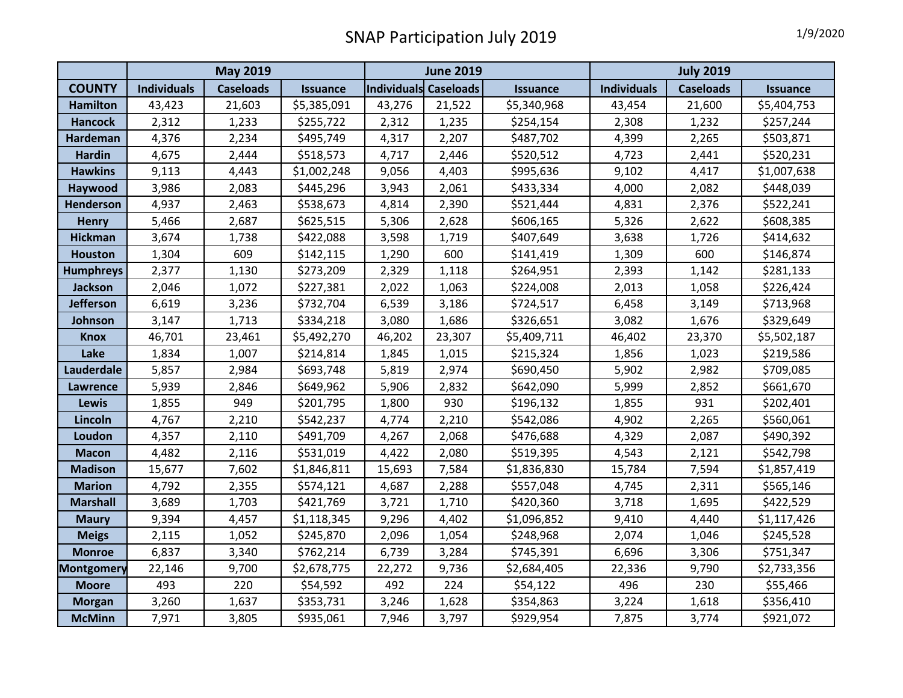|                   | <b>May 2019</b>    |                  |                 | <b>June 2019</b>      |        |                 | <b>July 2019</b>   |                  |                 |
|-------------------|--------------------|------------------|-----------------|-----------------------|--------|-----------------|--------------------|------------------|-----------------|
| <b>COUNTY</b>     | <b>Individuals</b> | <b>Caseloads</b> | <b>Issuance</b> | Individuals Caseloads |        | <b>Issuance</b> | <b>Individuals</b> | <b>Caseloads</b> | <b>Issuance</b> |
| <b>Hamilton</b>   | 43,423             | 21,603           | \$5,385,091     | 43,276                | 21,522 | \$5,340,968     | 43,454             | 21,600           | \$5,404,753     |
| <b>Hancock</b>    | 2,312              | 1,233            | \$255,722       | 2,312                 | 1,235  | \$254,154       | 2,308              | 1,232            | \$257,244       |
| Hardeman          | 4,376              | 2,234            | \$495,749       | 4,317                 | 2,207  | \$487,702       | 4,399              | 2,265            | \$503,871       |
| <b>Hardin</b>     | 4,675              | 2,444            | \$518,573       | 4,717                 | 2,446  | \$520,512       | 4,723              | 2,441            | \$520,231       |
| <b>Hawkins</b>    | 9,113              | 4,443            | \$1,002,248     | 9,056                 | 4,403  | \$995,636       | 9,102              | 4,417            | \$1,007,638     |
| Haywood           | 3,986              | 2,083            | \$445,296       | 3,943                 | 2,061  | \$433,334       | 4,000              | 2,082            | \$448,039       |
| Henderson         | 4,937              | 2,463            | \$538,673       | 4,814                 | 2,390  | \$521,444       | 4,831              | 2,376            | \$522,241       |
| <b>Henry</b>      | 5,466              | 2,687            | \$625,515       | 5,306                 | 2,628  | \$606,165       | 5,326              | 2,622            | \$608,385       |
| <b>Hickman</b>    | 3,674              | 1,738            | \$422,088       | 3,598                 | 1,719  | \$407,649       | 3,638              | 1,726            | \$414,632       |
| <b>Houston</b>    | 1,304              | 609              | \$142,115       | 1,290                 | 600    | \$141,419       | 1,309              | 600              | \$146,874       |
| <b>Humphreys</b>  | 2,377              | 1,130            | \$273,209       | 2,329                 | 1,118  | \$264,951       | 2,393              | 1,142            | \$281,133       |
| <b>Jackson</b>    | 2,046              | 1,072            | \$227,381       | 2,022                 | 1,063  | \$224,008       | 2,013              | 1,058            | \$226,424       |
| <b>Jefferson</b>  | 6,619              | 3,236            | \$732,704       | 6,539                 | 3,186  | \$724,517       | 6,458              | 3,149            | \$713,968       |
| Johnson           | 3,147              | 1,713            | \$334,218       | 3,080                 | 1,686  | \$326,651       | 3,082              | 1,676            | \$329,649       |
| <b>Knox</b>       | 46,701             | 23,461           | \$5,492,270     | 46,202                | 23,307 | \$5,409,711     | 46,402             | 23,370           | \$5,502,187     |
| Lake              | 1,834              | 1,007            | \$214,814       | 1,845                 | 1,015  | \$215,324       | 1,856              | 1,023            | \$219,586       |
| Lauderdale        | 5,857              | 2,984            | \$693,748       | 5,819                 | 2,974  | \$690,450       | 5,902              | 2,982            | \$709,085       |
| <b>Lawrence</b>   | 5,939              | 2,846            | \$649,962       | 5,906                 | 2,832  | \$642,090       | 5,999              | 2,852            | \$661,670       |
| <b>Lewis</b>      | 1,855              | 949              | \$201,795       | 1,800                 | 930    | \$196,132       | 1,855              | 931              | \$202,401       |
| Lincoln           | 4,767              | 2,210            | \$542,237       | 4,774                 | 2,210  | \$542,086       | 4,902              | 2,265            | \$560,061       |
| Loudon            | 4,357              | 2,110            | \$491,709       | 4,267                 | 2,068  | \$476,688       | 4,329              | 2,087            | \$490,392       |
| <b>Macon</b>      | 4,482              | 2,116            | \$531,019       | 4,422                 | 2,080  | \$519,395       | 4,543              | 2,121            | \$542,798       |
| <b>Madison</b>    | 15,677             | 7,602            | \$1,846,811     | 15,693                | 7,584  | \$1,836,830     | 15,784             | 7,594            | \$1,857,419     |
| <b>Marion</b>     | 4,792              | 2,355            | \$574,121       | 4,687                 | 2,288  | \$557,048       | 4,745              | 2,311            | \$565,146       |
| <b>Marshall</b>   | 3,689              | 1,703            | \$421,769       | 3,721                 | 1,710  | \$420,360       | 3,718              | 1,695            | \$422,529       |
| <b>Maury</b>      | 9,394              | 4,457            | \$1,118,345     | 9,296                 | 4,402  | \$1,096,852     | 9,410              | 4,440            | \$1,117,426     |
| <b>Meigs</b>      | 2,115              | 1,052            | \$245,870       | 2,096                 | 1,054  | \$248,968       | 2,074              | 1,046            | \$245,528       |
| <b>Monroe</b>     | 6,837              | 3,340            | \$762,214       | 6,739                 | 3,284  | \$745,391       | 6,696              | 3,306            | \$751,347       |
| <b>Montgomery</b> | 22,146             | 9,700            | \$2,678,775     | 22,272                | 9,736  | \$2,684,405     | 22,336             | 9,790            | \$2,733,356     |
| <b>Moore</b>      | 493                | 220              | \$54,592        | 492                   | 224    | \$54,122        | 496                | 230              | \$55,466        |
| <b>Morgan</b>     | 3,260              | 1,637            | \$353,731       | 3,246                 | 1,628  | \$354,863       | 3,224              | 1,618            | \$356,410       |
| <b>McMinn</b>     | 7,971              | 3,805            | \$935,061       | 7,946                 | 3,797  | \$929,954       | 7,875              | 3,774            | \$921,072       |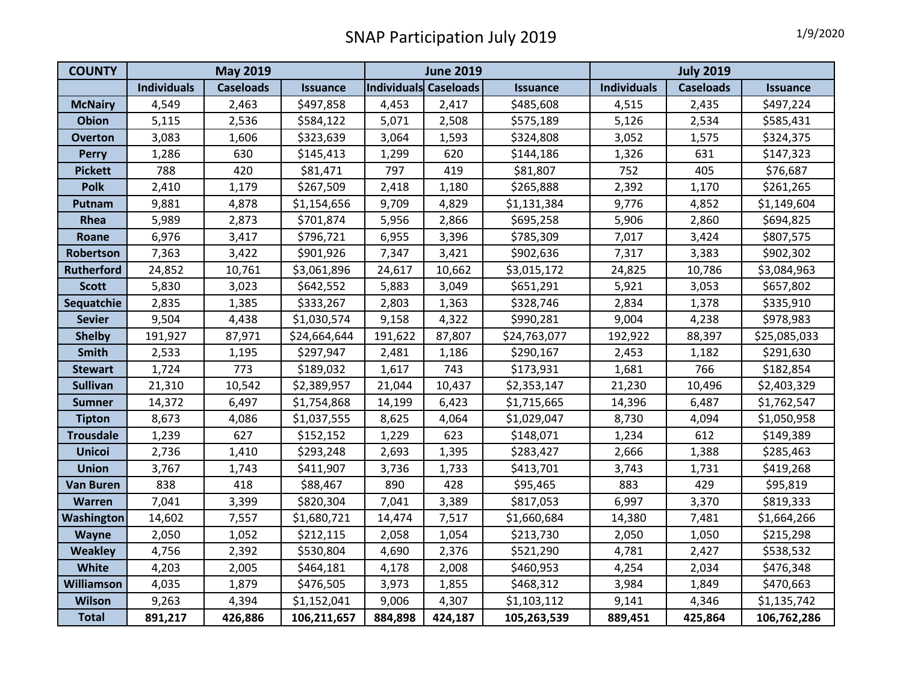| <b>COUNTY</b>     | <b>May 2019</b>    |                  |                 | <b>June 2019</b>      |         |              | <b>July 2019</b>   |                  |                 |
|-------------------|--------------------|------------------|-----------------|-----------------------|---------|--------------|--------------------|------------------|-----------------|
|                   | <b>Individuals</b> | <b>Caseloads</b> | <b>Issuance</b> | Individuals Caseloads |         | Issuance     | <b>Individuals</b> | <b>Caseloads</b> | <b>Issuance</b> |
| <b>McNairy</b>    | 4,549              | 2,463            | \$497,858       | 4,453                 | 2,417   | \$485,608    | 4,515              | 2,435            | \$497,224       |
| <b>Obion</b>      | 5,115              | 2,536            | \$584,122       | 5,071                 | 2,508   | \$575,189    | 5,126              | 2,534            | \$585,431       |
| <b>Overton</b>    | 3,083              | 1,606            | \$323,639       | 3,064                 | 1,593   | \$324,808    | 3,052              | 1,575            | \$324,375       |
| <b>Perry</b>      | 1,286              | 630              | \$145,413       | 1,299                 | 620     | \$144,186    | 1,326              | 631              | \$147,323       |
| <b>Pickett</b>    | 788                | 420              | \$81,471        | 797                   | 419     | \$81,807     | 752                | 405              | \$76,687        |
| <b>Polk</b>       | 2,410              | 1,179            | \$267,509       | 2,418                 | 1,180   | \$265,888    | 2,392              | 1,170            | \$261,265       |
| Putnam            | 9,881              | 4,878            | \$1,154,656     | 9,709                 | 4,829   | \$1,131,384  | 9,776              | 4,852            | \$1,149,604     |
| Rhea              | 5,989              | 2,873            | \$701,874       | 5,956                 | 2,866   | \$695,258    | 5,906              | 2,860            | \$694,825       |
| Roane             | 6,976              | 3,417            | \$796,721       | 6,955                 | 3,396   | \$785,309    | 7,017              | 3,424            | \$807,575       |
| Robertson         | 7,363              | 3,422            | \$901,926       | 7,347                 | 3,421   | \$902,636    | 7,317              | 3,383            | \$902,302       |
| <b>Rutherford</b> | 24,852             | 10,761           | \$3,061,896     | 24,617                | 10,662  | \$3,015,172  | 24,825             | 10,786           | \$3,084,963     |
| <b>Scott</b>      | 5,830              | 3,023            | \$642,552       | 5,883                 | 3,049   | \$651,291    | 5,921              | 3,053            | \$657,802       |
| Sequatchie        | 2,835              | 1,385            | \$333,267       | 2,803                 | 1,363   | \$328,746    | 2,834              | 1,378            | \$335,910       |
| <b>Sevier</b>     | 9,504              | 4,438            | \$1,030,574     | 9,158                 | 4,322   | \$990,281    | 9,004              | 4,238            | \$978,983       |
| <b>Shelby</b>     | 191,927            | 87,971           | \$24,664,644    | 191,622               | 87,807  | \$24,763,077 | 192,922            | 88,397           | \$25,085,033    |
| Smith             | 2,533              | 1,195            | \$297,947       | 2,481                 | 1,186   | \$290,167    | 2,453              | 1,182            | \$291,630       |
| <b>Stewart</b>    | 1,724              | 773              | \$189,032       | 1,617                 | 743     | \$173,931    | 1,681              | 766              | \$182,854       |
| <b>Sullivan</b>   | 21,310             | 10,542           | \$2,389,957     | 21,044                | 10,437  | \$2,353,147  | 21,230             | 10,496           | \$2,403,329     |
| <b>Sumner</b>     | 14,372             | 6,497            | \$1,754,868     | 14,199                | 6,423   | \$1,715,665  | 14,396             | 6,487            | \$1,762,547     |
| <b>Tipton</b>     | 8,673              | 4,086            | \$1,037,555     | 8,625                 | 4,064   | \$1,029,047  | 8,730              | 4,094            | \$1,050,958     |
| <b>Trousdale</b>  | 1,239              | 627              | \$152,152       | 1,229                 | 623     | \$148,071    | 1,234              | 612              | \$149,389       |
| <b>Unicoi</b>     | 2,736              | 1,410            | \$293,248       | 2,693                 | 1,395   | \$283,427    | 2,666              | 1,388            | \$285,463       |
| <b>Union</b>      | 3,767              | 1,743            | \$411,907       | 3,736                 | 1,733   | \$413,701    | 3,743              | 1,731            | \$419,268       |
| <b>Van Buren</b>  | 838                | 418              | \$88,467        | 890                   | 428     | \$95,465     | 883                | 429              | \$95,819        |
| <b>Warren</b>     | 7,041              | 3,399            | \$820,304       | 7,041                 | 3,389   | \$817,053    | 6,997              | 3,370            | \$819,333       |
| <b>Washington</b> | 14,602             | 7,557            | \$1,680,721     | 14,474                | 7,517   | \$1,660,684  | 14,380             | 7,481            | \$1,664,266     |
| Wayne             | 2,050              | 1,052            | \$212,115       | 2,058                 | 1,054   | \$213,730    | 2,050              | 1,050            | \$215,298       |
| <b>Weakley</b>    | 4,756              | 2,392            | \$530,804       | 4,690                 | 2,376   | \$521,290    | 4,781              | 2,427            | \$538,532       |
| White             | 4,203              | 2,005            | \$464,181       | 4,178                 | 2,008   | \$460,953    | 4,254              | 2,034            | \$476,348       |
| Williamson        | 4,035              | 1,879            | \$476,505       | 3,973                 | 1,855   | \$468,312    | 3,984              | 1,849            | \$470,663       |
| <b>Wilson</b>     | 9,263              | 4,394            | \$1,152,041     | 9,006                 | 4,307   | \$1,103,112  | 9,141              | 4,346            | \$1,135,742     |
| <b>Total</b>      | 891,217            | 426,886          | 106,211,657     | 884,898               | 424,187 | 105,263,539  | 889,451            | 425,864          | 106,762,286     |